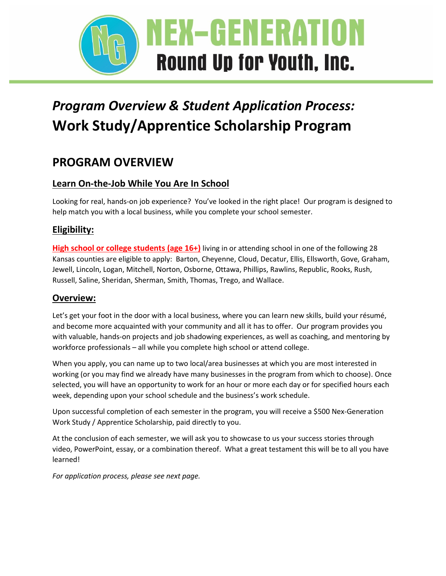

# *Program Overview & Student Application Process:* **Work Study/Apprentice Scholarship Program**

# **PROGRAM OVERVIEW**

### **Learn On-the-Job While You Are In School**

Looking for real, hands-on job experience? You've looked in the right place! Our program is designed to help match you with a local business, while you complete your school semester.

### **Eligibility:**

**High school or college students (age 16+)** living in or attending school in one of the following 28 Kansas counties are eligible to apply: Barton, Cheyenne, Cloud, Decatur, Ellis, Ellsworth, Gove, Graham, Jewell, Lincoln, Logan, Mitchell, Norton, Osborne, Ottawa, Phillips, Rawlins, Republic, Rooks, Rush, Russell, Saline, Sheridan, Sherman, Smith, Thomas, Trego, and Wallace.

### **Overview:**

Let's get your foot in the door with a local business, where you can learn new skills, build your résumé, and become more acquainted with your community and all it has to offer. Our program provides you with valuable, hands-on projects and job shadowing experiences, as well as coaching, and mentoring by workforce professionals – all while you complete high school or attend college.

When you apply, you can name up to two local/area businesses at which you are most interested in working (or you may find we already have many businesses in the program from which to choose). Once selected, you will have an opportunity to work for an hour or more each day or for specified hours each week, depending upon your school schedule and the business's work schedule.

Upon successful completion of each semester in the program, you will receive a \$500 Nex-Generation Work Study / Apprentice Scholarship, paid directly to you.

At the conclusion of each semester, we will ask you to showcase to us your success stories through video, PowerPoint, essay, or a combination thereof. What a great testament this will be to all you have learned!

*For application process, please see next page.*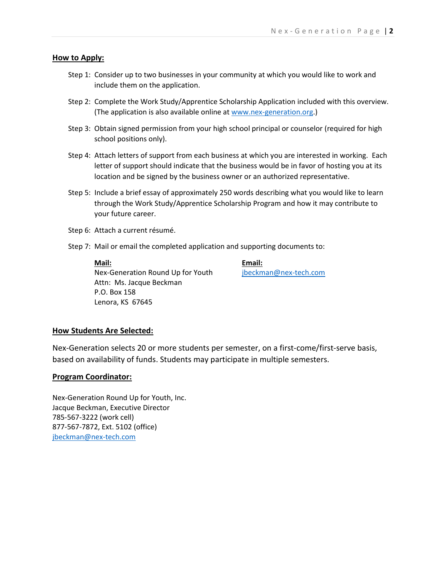#### **How to Apply:**

- Step 1: Consider up to two businesses in your community at which you would like to work and include them on the application.
- Step 2: Complete the Work Study/Apprentice Scholarship Application included with this overview. (The application is also available online at [www.nex-generation.org.](http://www.nex-generation.org/))
- Step 3: Obtain signed permission from your high school principal or counselor (required for high school positions only).
- Step 4: Attach letters of support from each business at which you are interested in working. Each letter of support should indicate that the business would be in favor of hosting you at its location and be signed by the business owner or an authorized representative.
- Step 5: Include a brief essay of approximately 250 words describing what you would like to learn through the Work Study/Apprentice Scholarship Program and how it may contribute to your future career.
- Step 6: Attach a current résumé.
- Step 7: Mail or email the completed application and supporting documents to:

**Mail:**

Nex-Generation Round Up for Youth Attn: Ms. Jacque Beckman P.O. Box 158 Lenora, KS 67645

**Email:** [jbeckman@nex-tech.com](mailto:jbeckman@nex-tech.com)

#### **How Students Are Selected:**

Nex-Generation selects 20 or more students per semester, on a first-come/first-serve basis, based on availability of funds. Students may participate in multiple semesters.

#### **Program Coordinator:**

Nex-Generation Round Up for Youth, Inc. Jacque Beckman, Executive Director 785-567-3222 (work cell) 877-567-7872, Ext. 5102 (office) [jbeckman@nex-tech.com](mailto:jbeckman@nex-tech.com)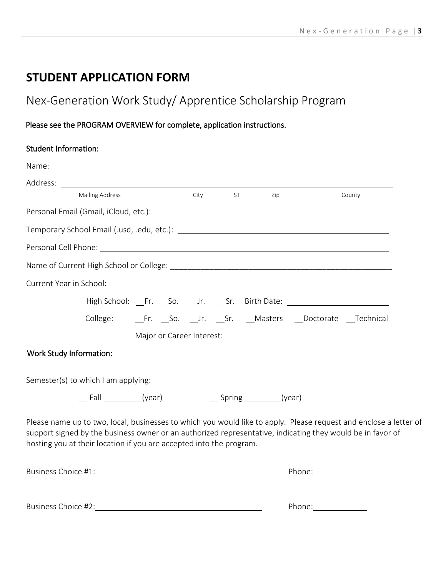# **STUDENT APPLICATION FORM**

# Nex‐Generation Work Study/ Apprentice Scholarship Program

### Please see the PROGRAM OVERVIEW for complete, application instructions.

### Student Information:

| <b>Mailing Address</b>                                                                                                                                                                                                                                                                                 | City ST | Zip | County |
|--------------------------------------------------------------------------------------------------------------------------------------------------------------------------------------------------------------------------------------------------------------------------------------------------------|---------|-----|--------|
|                                                                                                                                                                                                                                                                                                        |         |     |        |
|                                                                                                                                                                                                                                                                                                        |         |     |        |
|                                                                                                                                                                                                                                                                                                        |         |     |        |
|                                                                                                                                                                                                                                                                                                        |         |     |        |
| Current Year in School:                                                                                                                                                                                                                                                                                |         |     |        |
| High School: Fr. So. Jr. Sr. Birth Date: Natural Assembol: New York, New York, Netherland, 2014                                                                                                                                                                                                        |         |     |        |
| College: Fr. So. Jr. Sr. Masters Doctorate Technical                                                                                                                                                                                                                                                   |         |     |        |
|                                                                                                                                                                                                                                                                                                        |         |     |        |
| Work Study Information:                                                                                                                                                                                                                                                                                |         |     |        |
| Semester(s) to which I am applying:                                                                                                                                                                                                                                                                    |         |     |        |
|                                                                                                                                                                                                                                                                                                        |         |     |        |
| Please name up to two, local, businesses to which you would like to apply. Please request and enclose a letter of<br>support signed by the business owner or an authorized representative, indicating they would be in favor of<br>hosting you at their location if you are accepted into the program. |         |     |        |
|                                                                                                                                                                                                                                                                                                        |         |     |        |
|                                                                                                                                                                                                                                                                                                        |         |     |        |